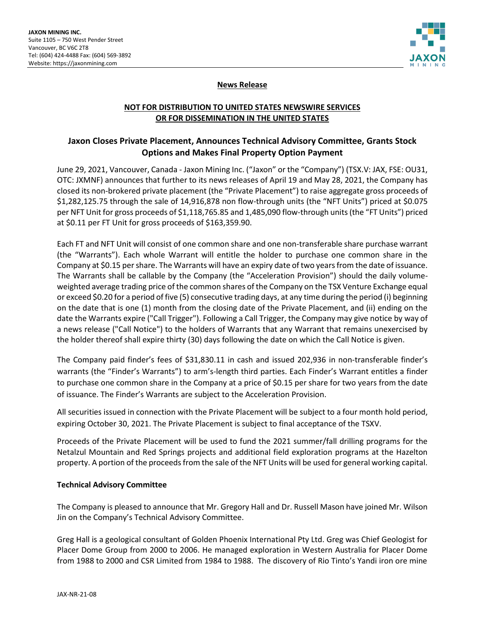

## **News Release**

## **NOT FOR DISTRIBUTION TO UNITED STATES NEWSWIRE SERVICES OR FOR DISSEMINATION IN THE UNITED STATES**

# **Jaxon Closes Private Placement, Announces Technical Advisory Committee, Grants Stock Options and Makes Final Property Option Payment**

June 29, 2021, Vancouver, Canada - Jaxon Mining Inc. ("Jaxon" or the "Company") (TSX.V: JAX, FSE: OU31, OTC: JXMNF) announces that further to its news releases of April 19 and May 28, 2021, the Company has closed its non-brokered private placement (the "Private Placement") to raise aggregate gross proceeds of \$1,282,125.75 through the sale of 14,916,878 non flow-through units (the "NFT Units") priced at \$0.075 per NFT Unit for gross proceeds of \$1,118,765.85 and 1,485,090 flow-through units (the "FT Units") priced at \$0.11 per FT Unit for gross proceeds of \$163,359.90.

Each FT and NFT Unit will consist of one common share and one non-transferable share purchase warrant (the "Warrants"). Each whole Warrant will entitle the holder to purchase one common share in the Company at \$0.15 per share. The Warrants will have an expiry date of two years from the date of issuance. The Warrants shall be callable by the Company (the "Acceleration Provision") should the daily volumeweighted average trading price of the common shares of the Company on the TSX Venture Exchange equal or exceed \$0.20 for a period of five (5) consecutive trading days, at any time during the period (i) beginning on the date that is one (1) month from the closing date of the Private Placement, and (ii) ending on the date the Warrants expire ("Call Trigger"). Following a Call Trigger, the Company may give notice by way of a news release ("Call Notice") to the holders of Warrants that any Warrant that remains unexercised by the holder thereof shall expire thirty (30) days following the date on which the Call Notice is given.

The Company paid finder's fees of \$31,830.11 in cash and issued 202,936 in non-transferable finder's warrants (the "Finder's Warrants") to arm's-length third parties. Each Finder's Warrant entitles a finder to purchase one common share in the Company at a price of \$0.15 per share for two years from the date of issuance. The Finder's Warrants are subject to the Acceleration Provision.

All securities issued in connection with the Private Placement will be subject to a four month hold period, expiring October 30, 2021. The Private Placement is subject to final acceptance of the TSXV.

Proceeds of the Private Placement will be used to fund the 2021 summer/fall drilling programs for the Netalzul Mountain and Red Springs projects and additional field exploration programs at the Hazelton property. A portion of the proceeds from the sale of the NFT Units will be used for general working capital.

### **Technical Advisory Committee**

The Company is pleased to announce that Mr. Gregory Hall and Dr. Russell Mason have joined Mr. Wilson Jin on the Company's Technical Advisory Committee.

Greg Hall is a geological consultant of Golden Phoenix International Pty Ltd. Greg was Chief Geologist for Placer Dome Group from 2000 to 2006. He managed exploration in Western Australia for Placer Dome from 1988 to 2000 and CSR Limited from 1984 to 1988. The discovery of Rio Tinto's Yandi iron ore mine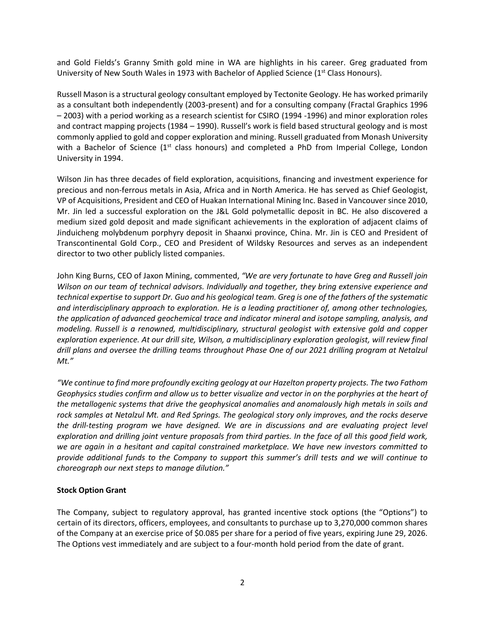and Gold Fields's Granny Smith gold mine in WA are highlights in his career. Greg graduated from University of New South Wales in 1973 with Bachelor of Applied Science ( $1<sup>st</sup>$  Class Honours).

Russell Mason is a structural geology consultant employed by Tectonite Geology. He has worked primarily as a consultant both independently (2003-present) and for a consulting company (Fractal Graphics 1996 – 2003) with a period working as a research scientist for CSIRO (1994 -1996) and minor exploration roles and contract mapping projects (1984 – 1990). Russell's work is field based structural geology and is most commonly applied to gold and copper exploration and mining. Russell graduated from Monash University with a Bachelor of Science ( $1<sup>st</sup>$  class honours) and completed a PhD from Imperial College, London University in 1994.

Wilson Jin has three decades of field exploration, acquisitions, financing and investment experience for precious and non-ferrous metals in Asia, Africa and in North America. He has served as Chief Geologist, VP of Acquisitions, President and CEO of Huakan International Mining Inc. Based in Vancouver since 2010, Mr. Jin led a successful exploration on the J&L Gold polymetallic deposit in BC. He also discovered a medium sized gold deposit and made significant achievements in the exploration of adjacent claims of Jinduicheng molybdenum porphyry deposit in Shaanxi province, China. Mr. Jin is CEO and President of Transcontinental Gold Corp., CEO and President of Wildsky Resources and serves as an independent director to two other publicly listed companies.

John King Burns, CEO of Jaxon Mining, commented, *"We are very fortunate to have Greg and Russell join Wilson on our team of technical advisors. Individually and together, they bring extensive experience and technical expertise to support Dr. Guo and his geological team. Greg is one of the fathers of the systematic and interdisciplinary approach to exploration. He is a leading practitioner of, among other technologies, the application of advanced geochemical trace and indicator mineral and isotope sampling, analysis, and modeling. Russell is a renowned, multidisciplinary, structural geologist with extensive gold and copper exploration experience. At our drill site, Wilson, a multidisciplinary exploration geologist, will review final drill plans and oversee the drilling teams throughout Phase One of our 2021 drilling program at Netalzul Mt."*

*"We continue to find more profoundly exciting geology at our Hazelton property projects. The two Fathom Geophysics studies confirm and allow us to better visualize and vector in on the porphyries at the heart of the metallogenic systems that drive the geophysical anomalies and anomalously high metals in soils and rock samples at Netalzul Mt. and Red Springs. The geological story only improves, and the rocks deserve the drill-testing program we have designed. We are in discussions and are evaluating project level exploration and drilling joint venture proposals from third parties. In the face of all this good field work, we are again in a hesitant and capital constrained marketplace. We have new investors committed to provide additional funds to the Company to support this summer's drill tests and we will continue to choreograph our next steps to manage dilution."*

### **Stock Option Grant**

The Company, subject to regulatory approval, has granted incentive stock options (the "Options") to certain of its directors, officers, employees, and consultants to purchase up to 3,270,000 common shares of the Company at an exercise price of \$0.085 per share for a period of five years, expiring June 29, 2026. The Options vest immediately and are subject to a four-month hold period from the date of grant.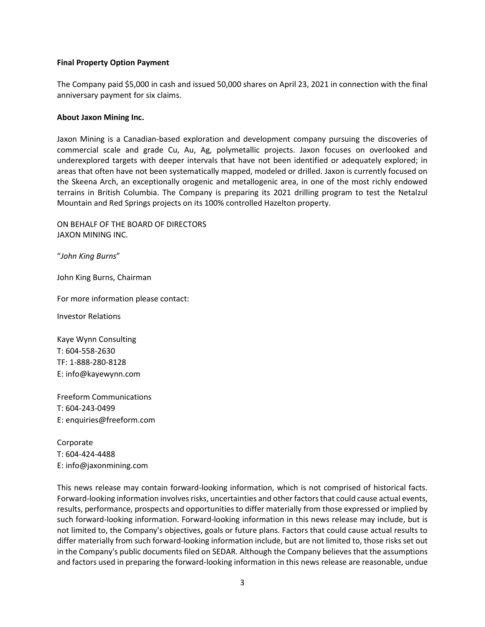#### **Final Property Option Payment**

The Company paid \$5,000 in cash and issued 50,000 shares on April 23, 2021 in connection with the final anniversary payment for six claims.

#### **About Jaxon Mining Inc.**

Jaxon Mining is a Canadian-based exploration and development company pursuing the discoveries of commercial scale and grade Cu, Au, Ag, polymetallic projects. Jaxon focuses on overlooked and underexplored targets with deeper intervals that have not been identified or adequately explored; in areas that often have not been systematically mapped, modeled or drilled. Jaxon is currently focused on the Skeena Arch, an exceptionally orogenic and metallogenic area, in one of the most richly endowed terrains in British Columbia. The Company is preparing its 2021 drilling program to test the Netalzul Mountain and Red Springs projects on its 100% controlled Hazelton property.

ON BEHALF OF THE BOARD OF DIRECTORS JAXON MINING INC.

"*John King Burns*"

John King Burns, Chairman

For more information please contact:

Investor Relations

Kaye Wynn Consulting T: 604-558-2630 TF: 1-888-280-8128 E: info@kayewynn.com

Freeform Communications T: 604-243-0499 E: enquiries@freeform.com

Corporate T: 604-424-4488 E: info@jaxonmining.com

This news release may contain forward-looking information, which is not comprised of historical facts. Forward-looking information involves risks, uncertainties and other factors that could cause actual events, results, performance, prospects and opportunities to differ materially from those expressed or implied by such forward-looking information. Forward-looking information in this news release may include, but is not limited to, the Company's objectives, goals or future plans. Factors that could cause actual results to differ materially from such forward-looking information include, but are not limited to, those risks set out in the Company's public documents filed on SEDAR. Although the Company believes that the assumptions and factors used in preparing the forward-looking information in this news release are reasonable, undue